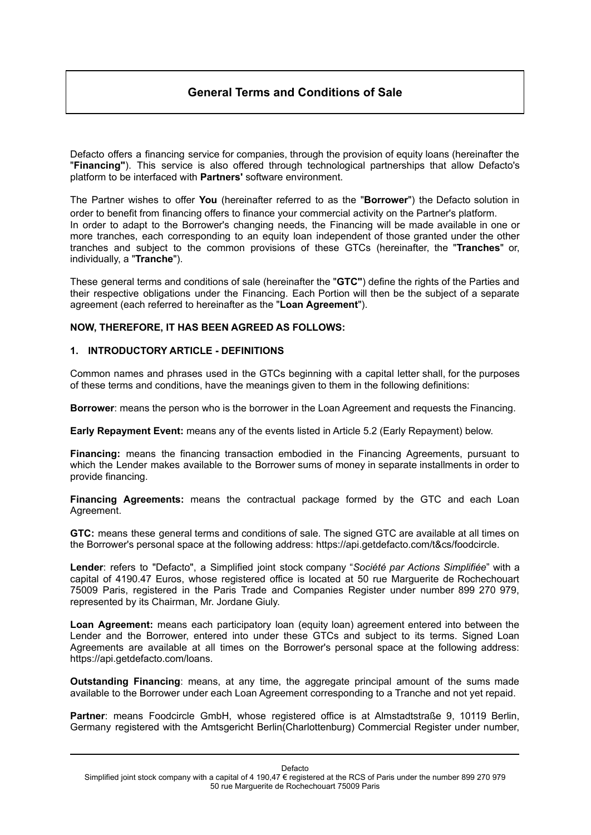# **General Terms and Conditions of Sale**

Defacto offers a financing service for companies, through the provision of equity loans (hereinafter the "**Financing"**). This service is also offered through technological partnerships that allow Defacto's platform to be interfaced with **Partners'** software environment.

The Partner wishes to offer **You** (hereinafter referred to as the "**Borrower**") the Defacto solution in order to benefit from financing offers to finance your commercial activity on the Partner's platform. In order to adapt to the Borrower's changing needs, the Financing will be made available in one or more tranches, each corresponding to an equity loan independent of those granted under the other tranches and subject to the common provisions of these GTCs (hereinafter, the "**Tranches**" or, individually, a "**Tranche**").

These general terms and conditions of sale (hereinafter the "**GTC"**) define the rights of the Parties and their respective obligations under the Financing. Each Portion will then be the subject of a separate agreement (each referred to hereinafter as the "**Loan Agreement**").

### **NOW, THEREFORE, IT HAS BEEN AGREED AS FOLLOWS:**

### **1. INTRODUCTORY ARTICLE - DEFINITIONS**

Common names and phrases used in the GTCs beginning with a capital letter shall, for the purposes of these terms and conditions, have the meanings given to them in the following definitions:

**Borrower**: means the person who is the borrower in the Loan Agreement and requests the Financing.

**Early Repayment Event:** means any of the events listed in Article 5.2 (Early Repayment) below.

**Financing:** means the financing transaction embodied in the Financing Agreements, pursuant to which the Lender makes available to the Borrower sums of money in separate installments in order to provide financing.

**Financing Agreements:** means the contractual package formed by the GTC and each Loan Agreement.

**GTC:** means these general terms and conditions of sale. The signed GTC are available at all times on the Borrower's personal space at the following address: https://api.getdefacto.com/t&cs/foodcircle.

**Lender**: refers to "Defacto", a Simplified joint stock company "*Société par Actions Simplifiée*" with a capital of 4190.47 Euros, whose registered office is located at 50 rue Marguerite de Rochechouart 75009 Paris, registered in the Paris Trade and Companies Register under number 899 270 979, represented by its Chairman, Mr. Jordane Giuly.

**Loan Agreement:** means each participatory loan (equity loan) agreement entered into between the Lender and the Borrower, entered into under these GTCs and subject to its terms. Signed Loan Agreements are available at all times on the Borrower's personal space at the following address: https://api.getdefacto.com/loans.

**Outstanding Financing**: means, at any time, the aggregate principal amount of the sums made available to the Borrower under each Loan Agreement corresponding to a Tranche and not yet repaid.

**Partner**: means Foodcircle GmbH, whose registered office is at Almstadtstraße 9, 10119 Berlin, Germany registered with the Amtsgericht Berlin(Charlottenburg) Commercial Register under number,

Defacto

Simplified joint stock company with a capital of 4 190,47 € registered at the RCS of Paris under the number 899 270 979 50 rue Marguerite de Rochechouart 75009 Paris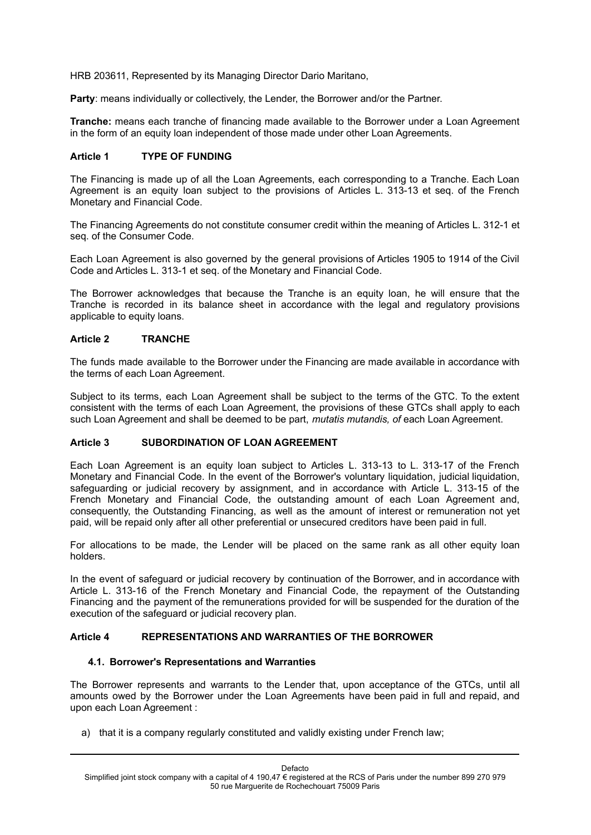HRB 203611, Represented by its Managing Director Dario Maritano,

**Party**: means individually or collectively, the Lender, the Borrower and/or the Partner.

**Tranche:** means each tranche of financing made available to the Borrower under a Loan Agreement in the form of an equity loan independent of those made under other Loan Agreements.

## **Article 1 TYPE OF FUNDING**

The Financing is made up of all the Loan Agreements, each corresponding to a Tranche. Each Loan Agreement is an equity loan subject to the provisions of Articles L. 313-13 et seq. of the French Monetary and Financial Code.

The Financing Agreements do not constitute consumer credit within the meaning of Articles L. 312-1 et seq. of the Consumer Code.

Each Loan Agreement is also governed by the general provisions of Articles 1905 to 1914 of the Civil Code and Articles L. 313-1 et seq. of the Monetary and Financial Code.

The Borrower acknowledges that because the Tranche is an equity loan, he will ensure that the Tranche is recorded in its balance sheet in accordance with the legal and regulatory provisions applicable to equity loans.

### **Article 2 TRANCHE**

The funds made available to the Borrower under the Financing are made available in accordance with the terms of each Loan Agreement.

Subject to its terms, each Loan Agreement shall be subject to the terms of the GTC. To the extent consistent with the terms of each Loan Agreement, the provisions of these GTCs shall apply to each such Loan Agreement and shall be deemed to be part, *mutatis mutandis, of* each Loan Agreement.

# **Article 3 SUBORDINATION OF LOAN AGREEMENT**

Each Loan Agreement is an equity loan subject to Articles L. 313-13 to L. 313-17 of the French Monetary and Financial Code. In the event of the Borrower's voluntary liquidation, judicial liquidation, safeguarding or judicial recovery by assignment, and in accordance with Article L. 313-15 of the French Monetary and Financial Code, the outstanding amount of each Loan Agreement and, consequently, the Outstanding Financing, as well as the amount of interest or remuneration not yet paid, will be repaid only after all other preferential or unsecured creditors have been paid in full.

For allocations to be made, the Lender will be placed on the same rank as all other equity loan holders.

In the event of safeguard or judicial recovery by continuation of the Borrower, and in accordance with Article L. 313-16 of the French Monetary and Financial Code, the repayment of the Outstanding Financing and the payment of the remunerations provided for will be suspended for the duration of the execution of the safeguard or judicial recovery plan.

#### **Article 4 REPRESENTATIONS AND WARRANTIES OF THE BORROWER**

#### **4.1. Borrower's Representations and Warranties**

The Borrower represents and warrants to the Lender that, upon acceptance of the GTCs, until all amounts owed by the Borrower under the Loan Agreements have been paid in full and repaid, and upon each Loan Agreement :

a) that it is a company regularly constituted and validly existing under French law;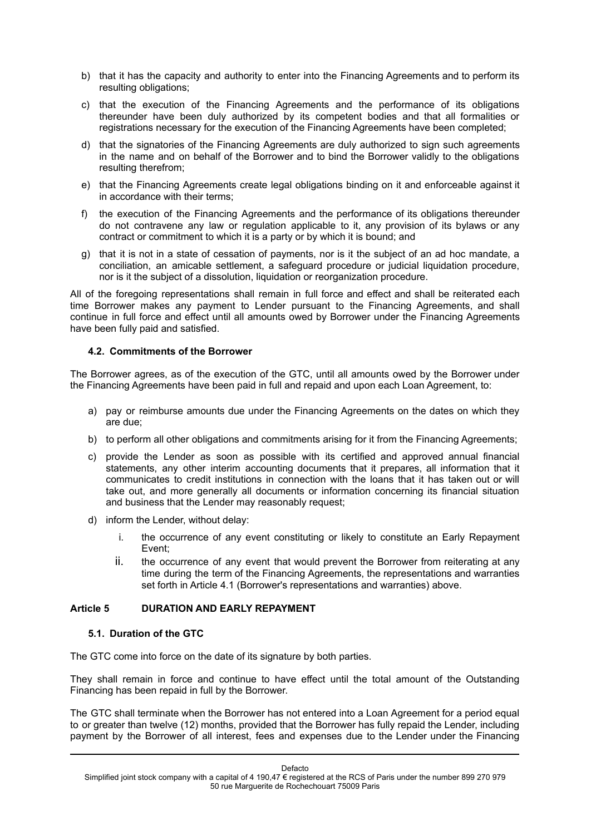- b) that it has the capacity and authority to enter into the Financing Agreements and to perform its resulting obligations;
- c) that the execution of the Financing Agreements and the performance of its obligations thereunder have been duly authorized by its competent bodies and that all formalities or registrations necessary for the execution of the Financing Agreements have been completed;
- d) that the signatories of the Financing Agreements are duly authorized to sign such agreements in the name and on behalf of the Borrower and to bind the Borrower validly to the obligations resulting therefrom;
- e) that the Financing Agreements create legal obligations binding on it and enforceable against it in accordance with their terms;
- f) the execution of the Financing Agreements and the performance of its obligations thereunder do not contravene any law or regulation applicable to it, any provision of its bylaws or any contract or commitment to which it is a party or by which it is bound; and
- g) that it is not in a state of cessation of payments, nor is it the subject of an ad hoc mandate, a conciliation, an amicable settlement, a safeguard procedure or judicial liquidation procedure, nor is it the subject of a dissolution, liquidation or reorganization procedure.

All of the foregoing representations shall remain in full force and effect and shall be reiterated each time Borrower makes any payment to Lender pursuant to the Financing Agreements, and shall continue in full force and effect until all amounts owed by Borrower under the Financing Agreements have been fully paid and satisfied.

## **4.2. Commitments of the Borrower**

The Borrower agrees, as of the execution of the GTC, until all amounts owed by the Borrower under the Financing Agreements have been paid in full and repaid and upon each Loan Agreement, to:

- a) pay or reimburse amounts due under the Financing Agreements on the dates on which they are due;
- b) to perform all other obligations and commitments arising for it from the Financing Agreements;
- c) provide the Lender as soon as possible with its certified and approved annual financial statements, any other interim accounting documents that it prepares, all information that it communicates to credit institutions in connection with the loans that it has taken out or will take out, and more generally all documents or information concerning its financial situation and business that the Lender may reasonably request;
- d) inform the Lender, without delay:
	- i. the occurrence of any event constituting or likely to constitute an Early Repayment Event;
	- ii. the occurrence of any event that would prevent the Borrower from reiterating at any time during the term of the Financing Agreements, the representations and warranties set forth in Article 4.1 (Borrower's representations and warranties) above.

## **Article 5 DURATION AND EARLY REPAYMENT**

## **5.1. Duration of the GTC**

The GTC come into force on the date of its signature by both parties.

They shall remain in force and continue to have effect until the total amount of the Outstanding Financing has been repaid in full by the Borrower.

The GTC shall terminate when the Borrower has not entered into a Loan Agreement for a period equal to or greater than twelve (12) months, provided that the Borrower has fully repaid the Lender, including payment by the Borrower of all interest, fees and expenses due to the Lender under the Financing

Defacto Simplified joint stock company with a capital of 4 190.47  $\epsilon$  registered at the RCS of Paris under the number 899 270 979 50 rue Marguerite de Rochechouart 75009 Paris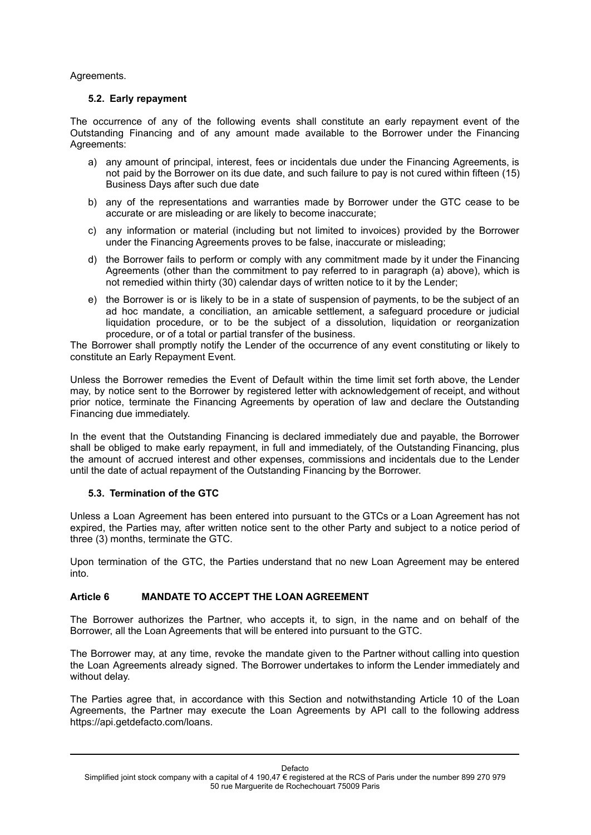### Agreements.

### **5.2. Early repayment**

The occurrence of any of the following events shall constitute an early repayment event of the Outstanding Financing and of any amount made available to the Borrower under the Financing Agreements:

- a) any amount of principal, interest, fees or incidentals due under the Financing Agreements, is not paid by the Borrower on its due date, and such failure to pay is not cured within fifteen (15) Business Days after such due date
- b) any of the representations and warranties made by Borrower under the GTC cease to be accurate or are misleading or are likely to become inaccurate;
- c) any information or material (including but not limited to invoices) provided by the Borrower under the Financing Agreements proves to be false, inaccurate or misleading;
- d) the Borrower fails to perform or comply with any commitment made by it under the Financing Agreements (other than the commitment to pay referred to in paragraph (a) above), which is not remedied within thirty (30) calendar days of written notice to it by the Lender;
- e) the Borrower is or is likely to be in a state of suspension of payments, to be the subject of an ad hoc mandate, a conciliation, an amicable settlement, a safeguard procedure or judicial liquidation procedure, or to be the subject of a dissolution, liquidation or reorganization procedure, or of a total or partial transfer of the business.

The Borrower shall promptly notify the Lender of the occurrence of any event constituting or likely to constitute an Early Repayment Event.

Unless the Borrower remedies the Event of Default within the time limit set forth above, the Lender may, by notice sent to the Borrower by registered letter with acknowledgement of receipt, and without prior notice, terminate the Financing Agreements by operation of law and declare the Outstanding Financing due immediately.

In the event that the Outstanding Financing is declared immediately due and payable, the Borrower shall be obliged to make early repayment, in full and immediately, of the Outstanding Financing, plus the amount of accrued interest and other expenses, commissions and incidentals due to the Lender until the date of actual repayment of the Outstanding Financing by the Borrower.

## **5.3. Termination of the GTC**

Unless a Loan Agreement has been entered into pursuant to the GTCs or a Loan Agreement has not expired, the Parties may, after written notice sent to the other Party and subject to a notice period of three (3) months, terminate the GTC.

Upon termination of the GTC, the Parties understand that no new Loan Agreement may be entered into.

## **Article 6 MANDATE TO ACCEPT THE LOAN AGREEMENT**

The Borrower authorizes the Partner, who accepts it, to sign, in the name and on behalf of the Borrower, all the Loan Agreements that will be entered into pursuant to the GTC.

The Borrower may, at any time, revoke the mandate given to the Partner without calling into question the Loan Agreements already signed. The Borrower undertakes to inform the Lender immediately and without delay.

The Parties agree that, in accordance with this Section and notwithstanding Article 10 of the Loan Agreements, the Partner may execute the Loan Agreements by API call to the following address https://api.getdefacto.com/loans.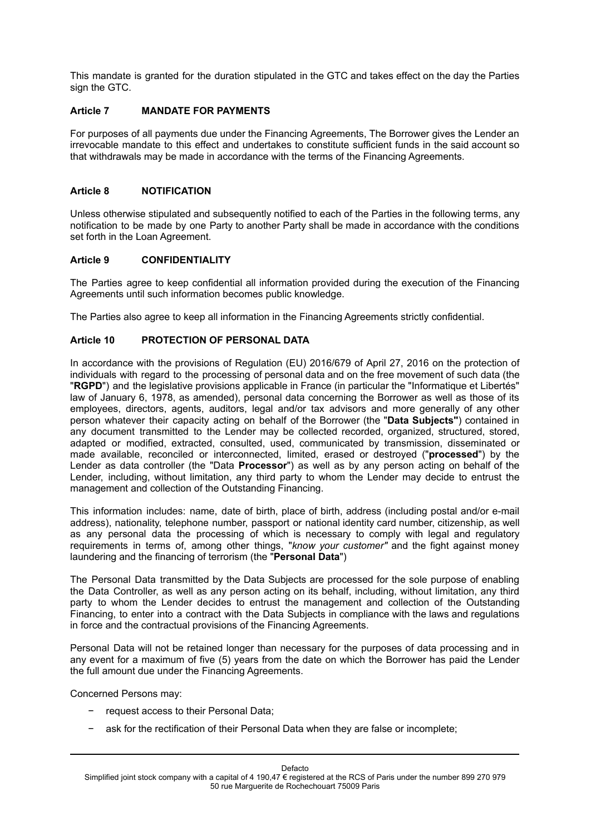This mandate is granted for the duration stipulated in the GTC and takes effect on the day the Parties sign the GTC.

## **Article 7 MANDATE FOR PAYMENTS**

For purposes of all payments due under the Financing Agreements, The Borrower gives the Lender an irrevocable mandate to this effect and undertakes to constitute sufficient funds in the said account so that withdrawals may be made in accordance with the terms of the Financing Agreements.

### **Article 8 NOTIFICATION**

Unless otherwise stipulated and subsequently notified to each of the Parties in the following terms, any notification to be made by one Party to another Party shall be made in accordance with the conditions set forth in the Loan Agreement.

### **Article 9 CONFIDENTIALITY**

The Parties agree to keep confidential all information provided during the execution of the Financing Agreements until such information becomes public knowledge.

The Parties also agree to keep all information in the Financing Agreements strictly confidential.

## **Article 10 PROTECTION OF PERSONAL DATA**

In accordance with the provisions of Regulation (EU) 2016/679 of April 27, 2016 on the protection of individuals with regard to the processing of personal data and on the free movement of such data (the "**RGPD**") and the legislative provisions applicable in France (in particular the "Informatique et Libertés" law of January 6, 1978, as amended), personal data concerning the Borrower as well as those of its employees, directors, agents, auditors, legal and/or tax advisors and more generally of any other person whatever their capacity acting on behalf of the Borrower (the "**Data Subjects"**) contained in any document transmitted to the Lender may be collected recorded, organized, structured, stored, adapted or modified, extracted, consulted, used, communicated by transmission, disseminated or made available, reconciled or interconnected, limited, erased or destroyed ("**processed**") by the Lender as data controller (the "Data **Processor**") as well as by any person acting on behalf of the Lender, including, without limitation, any third party to whom the Lender may decide to entrust the management and collection of the Outstanding Financing.

This information includes: name, date of birth, place of birth, address (including postal and/or e-mail address), nationality, telephone number, passport or national identity card number, citizenship, as well as any personal data the processing of which is necessary to comply with legal and regulatory requirements in terms of, among other things, "*know your customer"* and the fight against money laundering and the financing of terrorism (the "**Personal Data**")

The Personal Data transmitted by the Data Subjects are processed for the sole purpose of enabling the Data Controller, as well as any person acting on its behalf, including, without limitation, any third party to whom the Lender decides to entrust the management and collection of the Outstanding Financing, to enter into a contract with the Data Subjects in compliance with the laws and regulations in force and the contractual provisions of the Financing Agreements.

Personal Data will not be retained longer than necessary for the purposes of data processing and in any event for a maximum of five (5) years from the date on which the Borrower has paid the Lender the full amount due under the Financing Agreements.

Concerned Persons may:

- − request access to their Personal Data;
- ask for the rectification of their Personal Data when they are false or incomplete;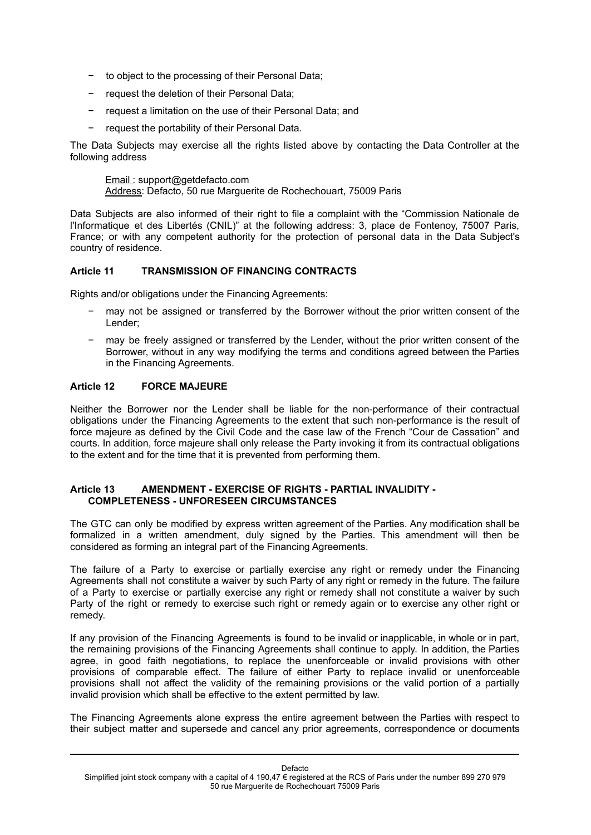- − to object to the processing of their Personal Data;
- − request the deletion of their Personal Data;
- request a limitation on the use of their Personal Data; and
- − request the portability of their Personal Data.

The Data Subjects may exercise all the rights listed above by contacting the Data Controller at the following address

Email : support@getdefacto.com Address: Defacto, 50 rue Marguerite de Rochechouart, 75009 Paris

Data Subjects are also informed of their right to file a complaint with the "Commission Nationale de l'Informatique et des Libertés (CNIL)" at the following address: 3, place de Fontenoy, 75007 Paris, France; or with any competent authority for the protection of personal data in the Data Subject's country of residence.

### **Article 11 TRANSMISSION OF FINANCING CONTRACTS**

Rights and/or obligations under the Financing Agreements:

- may not be assigned or transferred by the Borrower without the prior written consent of the Lender;
- may be freely assigned or transferred by the Lender, without the prior written consent of the Borrower, without in any way modifying the terms and conditions agreed between the Parties in the Financing Agreements.

# **Article 12 FORCE MAJEURE**

Neither the Borrower nor the Lender shall be liable for the non-performance of their contractual obligations under the Financing Agreements to the extent that such non-performance is the result of force majeure as defined by the Civil Code and the case law of the French "Cour de Cassation" and courts. In addition, force majeure shall only release the Party invoking it from its contractual obligations to the extent and for the time that it is prevented from performing them.

### **Article 13 AMENDMENT - EXERCISE OF RIGHTS - PARTIAL INVALIDITY - COMPLETENESS - UNFORESEEN CIRCUMSTANCES**

The GTC can only be modified by express written agreement of the Parties. Any modification shall be formalized in a written amendment, duly signed by the Parties. This amendment will then be considered as forming an integral part of the Financing Agreements.

The failure of a Party to exercise or partially exercise any right or remedy under the Financing Agreements shall not constitute a waiver by such Party of any right or remedy in the future. The failure of a Party to exercise or partially exercise any right or remedy shall not constitute a waiver by such Party of the right or remedy to exercise such right or remedy again or to exercise any other right or remedy.

If any provision of the Financing Agreements is found to be invalid or inapplicable, in whole or in part, the remaining provisions of the Financing Agreements shall continue to apply. In addition, the Parties agree, in good faith negotiations, to replace the unenforceable or invalid provisions with other provisions of comparable effect. The failure of either Party to replace invalid or unenforceable provisions shall not affect the validity of the remaining provisions or the valid portion of a partially invalid provision which shall be effective to the extent permitted by law.

The Financing Agreements alone express the entire agreement between the Parties with respect to their subject matter and supersede and cancel any prior agreements, correspondence or documents

Defacto

Simplified joint stock company with a capital of 4 190,47 € registered at the RCS of Paris under the number 899 270 979 50 rue Marguerite de Rochechouart 75009 Paris